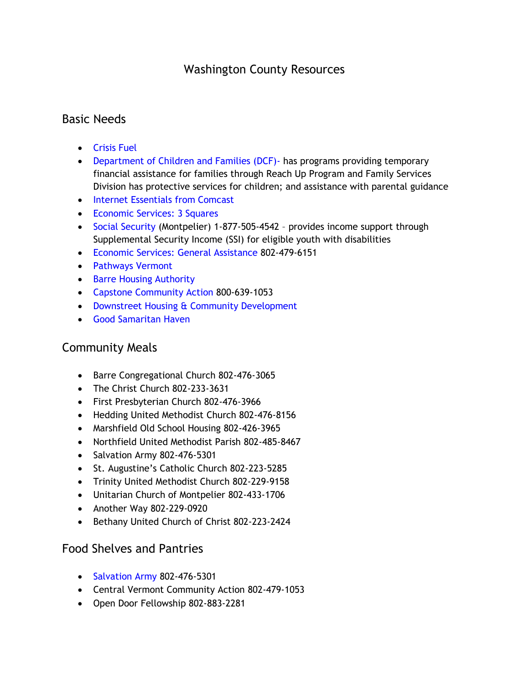# Washington County Resources

#### Basic Needs

- [Crisis Fuel](https://dcf.vermont.gov/benefits/crisis-fuel)
- [Department of Children and Families \(DCF\)-](http://dcf.vermont.gov/divisions) has programs providing temporary financial assistance for families through Reach Up Program and Family Services Division has protective services for children; and assistance with parental guidance
- [Internet Essentials from Comcast](https://www.internetessentials.com/)
- [Economic Services: 3 Squares](https://dcf.vermont.gov/benefits/3SquaresVT)
- [Social Security](https://www.ssa.gov/onlineservices/) (Montpelier) 1-877-505-4542 provides income support through Supplemental Security Income (SSI) for eligible youth with disabilities
- [Economic Services:](https://dcf.vermont.gov/benefits/EA-GA) General Assistance 802-479-6151
- [Pathways Vermont](http://www.pathwaysvermont.org/)
- [Barre Housing Authority](http://www.barrehousingauthority.com/)
- [Capstone Community Action](https://www.capstonevt.org/) 800-639-1053
- Downstreet Housing [& Community Development](http://www.downstreet.org/)
- [Good Samaritan Haven](http://www.goodsamaritanhaven.org/)

### Community Meals

- Barre Congregational Church 802-476-3065
- The Christ Church 802-233-3631
- First Presbyterian Church 802-476-3966
- Hedding United Methodist Church 802-476-8156
- Marshfield Old School Housing 802-426-3965
- Northfield United Methodist Parish 802-485-8467
- Salvation Army 802-476-5301
- St. Augustine's Catholic Church 802-223-5285
- Trinity United Methodist Church 802-229-9158
- Unitarian Church of Montpelier 802-433-1706
- Another Way 802-229-0920
- Bethany United Church of Christ 802-223-2424

### Food Shelves and Pantries

- [Salvation Army](https://www.foodpantries.org/li/salvation_army_barre_05641) 802-476-5301
- Central Vermont Community Action 802-479-1053
- Open Door Fellowship 802-883-2281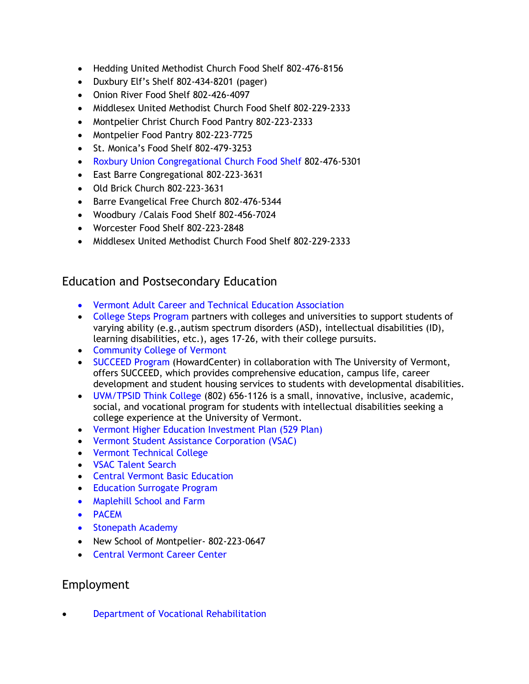- Hedding United Methodist Church Food Shelf 802-476-8156
- Duxbury Elf's Shelf 802-434-8201 (pager)
- Onion River Food Shelf 802-426-4097
- Middlesex United Methodist Church Food Shelf 802-229-2333
- Montpelier Christ Church Food Pantry 802-223-2333
- Montpelier Food Pantry 802-223-7725
- St. Monica's Food Shelf 802-479-3253
- [Roxbury Union Congregational Church Food Shelf](https://www.foodpantries.org/li/roxbury_union_congregational_church_05669) 802-476-5301
- East Barre Congregational 802-223-3631
- Old Brick Church 802-223-3631
- Barre Evangelical Free Church 802-476-5344
- Woodbury /Calais Food Shelf 802-456-7024
- Worcester Food Shelf 802-223-2848
- Middlesex United Methodist Church Food Shelf 802-229-2333

## Education and Postsecondary Education

- [Vermont Adult Career and Technical Education Association](http://vtadultcte.org/location/central-vermont-career-center/)
- [College Steps Program](http://www.collegesteps.org/) partners with colleges and universities to support students of varying ability (e.g.,autism spectrum disorders (ASD), intellectual disabilities (ID), learning disabilities, etc.), ages 17-26, with their college pursuits.
- [Community College of Vermont](https://ccv.edu/)
- [SUCCEED Program](http://www.howardcenter.org/SUCCEED) (HowardCenter) in collaboration with The University of Vermont, offers SUCCEED, which provides comprehensive education, campus life, career development and student housing services to students with developmental disabilities.
- [UVM/TPSID Think College](http://www.uvm.edu/~cdci/thinkcollege/) (802) 656-1126 is a small, innovative, inclusive, academic, social, and vocational program for students with intellectual disabilities seeking a college experience at the University of Vermont.
- [Vermont Higher Education Investment Plan \(529](https://www.vheip.org/) Plan)
- [Vermont Student Assistance Corporation \(VSAC\)](https://www.vsac.org/)
- [Vermont Technical College](https://www.vtc.edu/)
- [VSAC Talent Search](https://www.vsac.org/about/our-outreach-programs/talent-search)
- [Central Vermont Basic Education](http://cvabe.org/)
- [Education Surrogate Program](https://education.vermont.gov/student-support/special-education/laws-and-regulations/educational-surrogate-parent-program)
- [Maplehill School and Farm](https://www.maplehillschoolandfarm.org/)
- [PACEM](https://pacemschool.org/)
- [Stonepath Academy](https://www.spavt.net/)
- New School of Montpelier- [802-223-0647](https://www.google.com/search?q=new+school+of+montpelier&rlz=1C1GCEB_enUS890US890&oq=new&aqs=chrome.1.69i57j69i59l2j0i131i433j0i131i433i512j69i60l3.2527j0j4&sourceid=chrome&ie=UTF-8)
- [Central Vermont Career Center](https://cvtcc.org/)

### Employment

• [Department of Vocational](https://vocrehab.vermont.gov/youth) Rehabilitation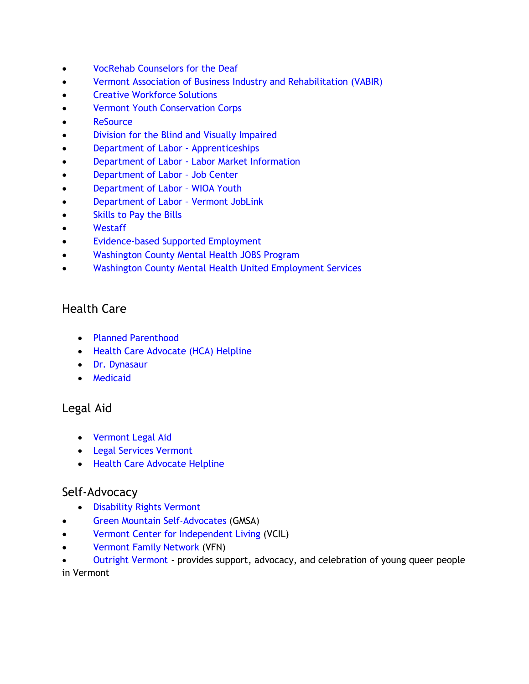- [VocRehab Counselors for the](https://vocrehab.vermont.gov/rehabilitation-counselors-deaf-rcds) Deaf
- [Vermont Association of Business Industry and Rehabilitation \(VABIR\)](https://www.vabir.org/)
- [Creative Workforce Solutions](http://www.cwsvt.com/index.php)
- [Vermont Youth Conservation Corps](https://www.vycc.org/)
- [ReSource](https://resourcevt.org/)
- Division for the [Blind and Visually Impaired](https://dbvi.vermont.gov/services/employment)
- [Department of Labor -](https://labor.vermont.gov/apprenticeship) Apprenticeships
- Department of Labor [Labor Market Information](http://www.vtlmi.info/)
- [Department of Labor](https://labor.vermont.gov/workforce-development/job-centers) Job Center
- [Department of Labor](https://labor.vermont.gov/workforce-development/job-training-education-and-apprenticeship/wioa-workforce-innovation)  WIOA Youth
- [Department of Labor](https://www.vermontjoblink.com/ada/r/)  Vermont JobLink
- [Skills to Pay the Bills](https://www.dol.gov/agencies/odep/program-areas/individuals/youth/transition/soft-skills)
- [Westaff](https://www.westaff.com/)
- [Evidence-based Supported Employment](https://mentalhealth.vermont.gov/services/adult-mental-health-services/services-and-supports-adults/evidence-based-supported)
- [Washington County Mental Health](https://mentalhealth.vermont.gov/services/children-youth-and-family/services-and-support/transition-aged-youth-and-young-adults/jump) JOBS Program
- [Washington County Mental Health United Employment Services](https://www.wcmhs.org/services/ds_employment-services/)

# Health Care

- [Planned Parenthood](https://www.plannedparenthood.org/health-center/vermont/barre/05641/barre-health-center-2654-91770)
- [Health Care Advocate \(HCA\) Helpline](https://vtlawhelp.org/health)
- [Dr. Dynasaur](https://www.greenmountaincare.org/health-plans/dr-dynasaur)
- [Medicaid](https://www.greenmountaincare.org/health-plans/medicaid)

### Legal Aid

- [Vermont Legal Aid](https://www.vtlegalaid.org/)
- [Legal Services Vermont](https://legalservicesvt.org/)
- [Health Care Advocate Helpline](https://vtlawhelp.org/health)

### Self-Advocacy

- [Disability Rights Vermont](https://disabilityrightsvt.org/)
- [Green Mountain Self-Advocates](http://www.gmsavt.org/) (GMSA)
- [Vermont Center for Independent Living](https://vcil.org/) (VCIL)
- [Vermont Family Network](https://www.vermontfamilynetwork.org/) (VFN)

• [Outright Vermont](http://www.outrightvt.org/) - provides support, advocacy, and celebration of young queer people in Vermont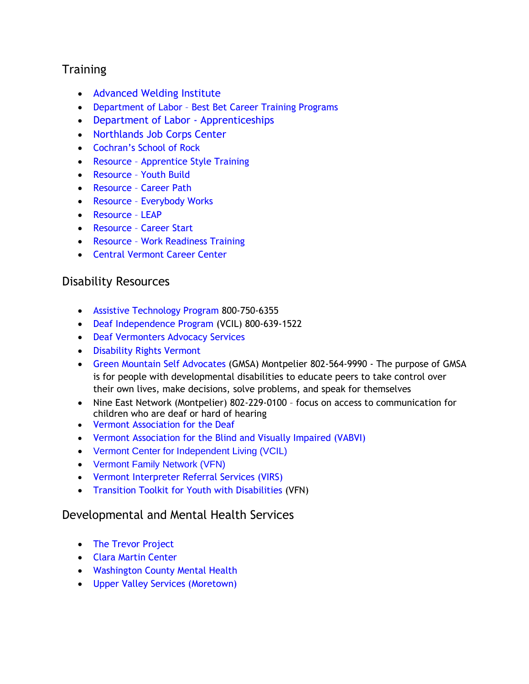# **Training**

- [Advanced Welding Institute](https://awi.edu/)
- [Department of Labor](http://www.vtlmi.info/bestbets.pdf)  Best Bet Career Training Programs
- [Department of Labor -](https://labor.vermont.gov/apprenticeship) Apprenticeships
- [Northlands Job Corps Center](https://northlands.jobcorps.gov/our-program)
- [Cochran's School of Rock](https://www.cochrans-monuments.com/training)
- Resource [Apprentice Style Training](https://resourcevt.org/training-programs/apprentice-style/)
- Resource [Youth Build](https://resourcevt.org/training-programs/youthbuild/)
- Resource [Career Path](https://resourcevt.org/training-programs/career-path/)
- Resource [Everybody Works](https://resourcevt.org/training-programs/every-body-works/)
- [Resource](https://resourcevt.org/training-programs/leap/)  LEAP
- Resource [Career Start](https://resourcevt.org/training-programs/career-start/)
- Resource [Work Readiness Training](https://resourcevt.org/training-programs/work-readiness/)
- [Central Vermont Career Center](https://cvtcc.org/)

### Disability Resources

- [Assistive Technology Program](https://atp.vermont.gov/) 800-750-6355
- [Deaf Independence Program](http://www.vcil.org/services/peer-advocacy/deaf-independence-program) (VCIL) 800-639-1522
- [Deaf Vermonters Advocacy Services](https://dvas.org/about-us/)
- [Disability Rights Vermont](https://disabilityrightsvt.org/)
- [Green Mountain Self Advocates](http://www.gmsavt.org/) (GMSA) Montpelier 802-564-9990 The purpose of GMSA is for people with developmental disabilities to educate peers to take control over their own lives, make decisions, solve problems, and speak for themselves
- Nine East Network (Montpelier) 802-229-0100 focus on access to communication for children who are deaf or hard of hearing
- [Vermont Association for the Deaf](http://www.deafvermont.com/)
- Vermont [Association for the Blind and](https://www.vabvi.org/for-children/) Visually Impaired (VABVI)
- [Vermont Center for Independent Living](https://vcil.org/services/) (VCIL)
- [Vermont Family Network](https://www.vermontfamilynetwork.org/) (VFN)
- [Vermont Interpreter Referral Services \(VIRS\)](http://virs.org/contact.html)
- [Transition Toolkit for Youth with Disabilities](http://www.vermontfamilynetwork.org/services/transition/transition-to-adulthood-toolkit/) (VFN)

#### Developmental and Mental Health Services

- [The Trevor Project](https://www.thetrevorproject.org/get-help-now/)
- [Clara Martin Center](http://www.claramartin.org/)
- [Washington County Mental Health](https://www.wcmhs.org/)
- Upper [Valley Services \(Moretown\)](https://uvs-vt.org/moretown/)